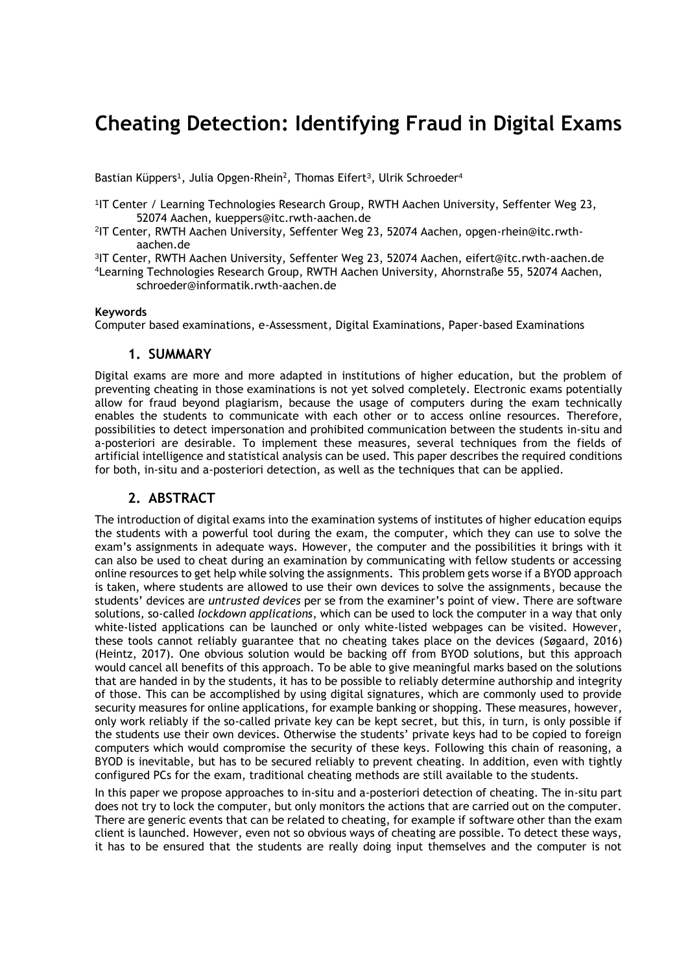# **Cheating Detection: Identifying Fraud in Digital Exams**

Bastian Küppers<sup>1</sup>, Julia Opgen-Rhein<sup>2</sup>, Thomas Eifert<sup>3</sup>, Ulrik Schroeder<sup>4</sup>

- 1 IT Center / Learning Technologies Research Group, RWTH Aachen University, Seffenter Weg 23, 52074 Aachen, kueppers@itc.rwth-aachen.de
- 2 IT Center, RWTH Aachen University, Seffenter Weg 23, 52074 Aachen, opgen-rhein@itc.rwthaachen.de
- 3 IT Center, RWTH Aachen University, Seffenter Weg 23, 52074 Aachen, eifert@itc.rwth-aachen.de
- <sup>4</sup>Learning Technologies Research Group, RWTH Aachen University, Ahornstraße 55, 52074 Aachen,
	- schroeder@informatik.rwth-aachen.de

#### **Keywords**

Computer based examinations, e-Assessment, Digital Examinations, Paper-based Examinations

#### **1. SUMMARY**

Digital exams are more and more adapted in institutions of higher education, but the problem of preventing cheating in those examinations is not yet solved completely. Electronic exams potentially allow for fraud beyond plagiarism, because the usage of computers during the exam technically enables the students to communicate with each other or to access online resources. Therefore, possibilities to detect impersonation and prohibited communication between the students in-situ and a-posteriori are desirable. To implement these measures, several techniques from the fields of artificial intelligence and statistical analysis can be used. This paper describes the required conditions for both, in-situ and a-posteriori detection, as well as the techniques that can be applied.

### **2. ABSTRACT**

The introduction of digital exams into the examination systems of institutes of higher education equips the students with a powerful tool during the exam, the computer, which they can use to solve the exam's assignments in adequate ways. However, the computer and the possibilities it brings with it can also be used to cheat during an examination by communicating with fellow students or accessing online resources to get help while solving the assignments. This problem gets worse if a BYOD approach is taken, where students are allowed to use their own devices to solve the assignments, because the students' devices are *untrusted devices* per se from the examiner's point of view. There are software solutions, so-called *lockdown applications*, which can be used to lock the computer in a way that only white-listed applications can be launched or only white-listed webpages can be visited. However, these tools cannot reliably guarantee that no cheating takes place on the devices (Søgaard, 2016) (Heintz, 2017). One obvious solution would be backing off from BYOD solutions, but this approach would cancel all benefits of this approach. To be able to give meaningful marks based on the solutions that are handed in by the students, it has to be possible to reliably determine authorship and integrity of those. This can be accomplished by using digital signatures, which are commonly used to provide security measures for online applications, for example banking or shopping. These measures, however, only work reliably if the so-called private key can be kept secret, but this, in turn, is only possible if the students use their own devices. Otherwise the students' private keys had to be copied to foreign computers which would compromise the security of these keys. Following this chain of reasoning, a BYOD is inevitable, but has to be secured reliably to prevent cheating. In addition, even with tightly configured PCs for the exam, traditional cheating methods are still available to the students.

In this paper we propose approaches to in-situ and a-posteriori detection of cheating. The in-situ part does not try to lock the computer, but only monitors the actions that are carried out on the computer. There are generic events that can be related to cheating, for example if software other than the exam client is launched. However, even not so obvious ways of cheating are possible. To detect these ways, it has to be ensured that the students are really doing input themselves and the computer is not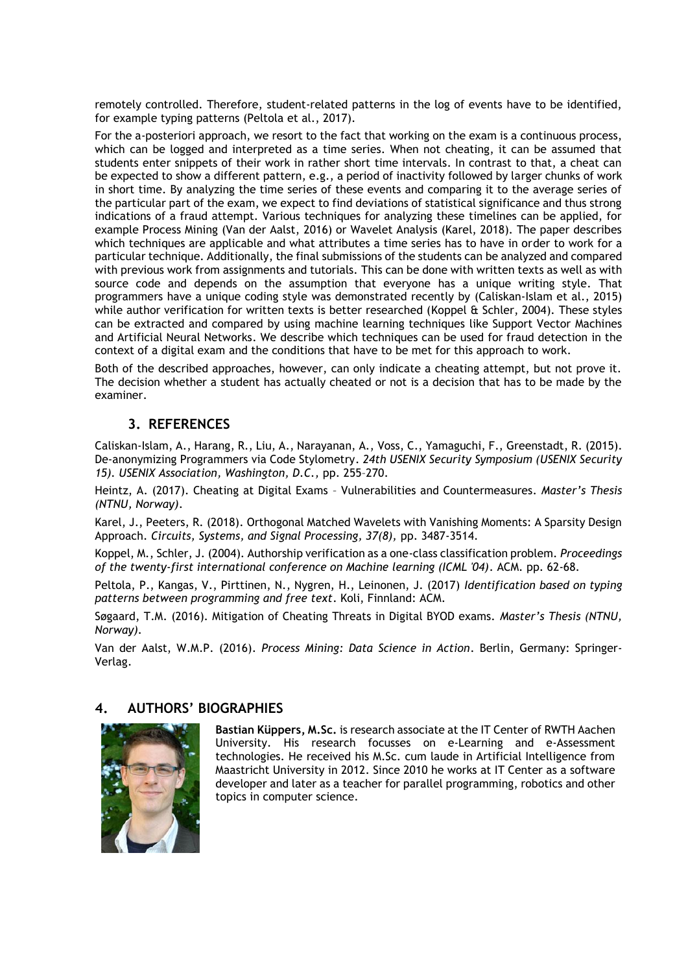remotely controlled. Therefore, student-related patterns in the log of events have to be identified, for example typing patterns (Peltola et al., 2017).

For the a-posteriori approach, we resort to the fact that working on the exam is a continuous process, which can be logged and interpreted as a time series. When not cheating, it can be assumed that students enter snippets of their work in rather short time intervals. In contrast to that, a cheat can be expected to show a different pattern, e.g., a period of inactivity followed by larger chunks of work in short time. By analyzing the time series of these events and comparing it to the average series of the particular part of the exam, we expect to find deviations of statistical significance and thus strong indications of a fraud attempt. Various techniques for analyzing these timelines can be applied, for example Process Mining (Van der Aalst, 2016) or Wavelet Analysis (Karel, 2018). The paper describes which techniques are applicable and what attributes a time series has to have in order to work for a particular technique. Additionally, the final submissions of the students can be analyzed and compared with previous work from assignments and tutorials. This can be done with written texts as well as with source code and depends on the assumption that everyone has a unique writing style. That programmers have a unique coding style was demonstrated recently by (Caliskan-Islam et al., 2015) while author verification for written texts is better researched (Koppel & Schler, 2004). These styles can be extracted and compared by using machine learning techniques like Support Vector Machines and Artificial Neural Networks. We describe which techniques can be used for fraud detection in the context of a digital exam and the conditions that have to be met for this approach to work.

Both of the described approaches, however, can only indicate a cheating attempt, but not prove it. The decision whether a student has actually cheated or not is a decision that has to be made by the examiner.

## **3. REFERENCES**

Caliskan-Islam, A., Harang, R., Liu, A., Narayanan, A., Voss, C., Yamaguchi, F., Greenstadt, R. (2015). De-anonymizing Programmers via Code Stylometry. *24th USENIX Security Symposium (USENIX Security 15). USENIX Association, Washington, D.C.,* pp. 255–270.

Heintz, A. (2017). Cheating at Digital Exams – Vulnerabilities and Countermeasures. *Master's Thesis (NTNU, Norway)*.

Karel, J., Peeters, R. (2018). Orthogonal Matched Wavelets with Vanishing Moments: A Sparsity Design Approach. *Circuits, Systems, and Signal Processing, 37(8),* pp. 3487-3514.

Koppel, M., Schler, J. (2004). Authorship verification as a one-class classification problem. *Proceedings of the twenty-first international conference on Machine learning (ICML '04)*. ACM. pp. 62-68.

Peltola, P., Kangas, V., Pirttinen, N., Nygren, H., Leinonen, J. (2017) *Identification based on typing patterns between programming and free text*. Koli, Finnland: ACM.

Søgaard, T.M. (2016). Mitigation of Cheating Threats in Digital BYOD exams. *Master's Thesis (NTNU, Norway)*.

Van der Aalst, W.M.P. (2016). *Process Mining: Data Science in Action*. Berlin, Germany: Springer-Verlag.

## **4. AUTHORS' BIOGRAPHIES**



**Bastian Küppers, M.Sc.** is research associate at the IT Center of RWTH Aachen University. His research focusses on e-Learning and e-Assessment technologies. He received his M.Sc. cum laude in Artificial Intelligence from Maastricht University in 2012. Since 2010 he works at IT Center as a software developer and later as a teacher for parallel programming, robotics and other topics in computer science.